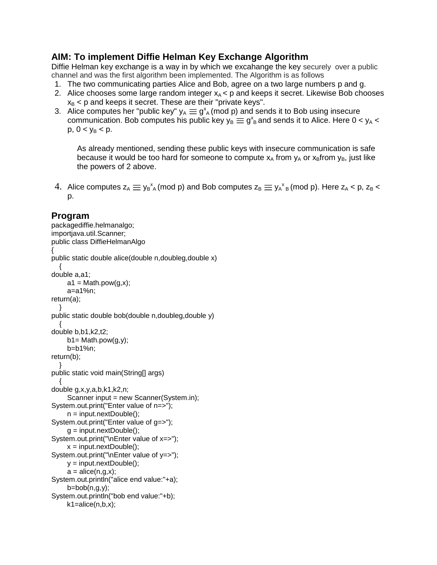## **AIM: To implement Diffie Helman Key Exchange Algorithm**

Diffie Helman key exchange is a way in by which we excahange the key securely over a public channel and was the first algorithm been implemented. The Algorithm is as follows

- 1. The two communicating parties Alice and Bob, agree on a two large numbers p and g.
- 2. Alice chooses some large random integer  $x_A < p$  and keeps it secret. Likewise Bob chooses  $x_B$  < p and keeps it secret. These are their "private keys".
- 3. Alice computes her "public key"  $y_A \equiv g^x_A \pmod{p}$  and sends it to Bob using insecure communication. Bob computes his public key  $y_B \equiv g_A^s$  and sends it to Alice. Here  $0 < y_A <$  $p, 0 < y_B < p$ .

As already mentioned, sending these public keys with insecure communication is safe because it would be too hard for someone to compute  $x_A$  from  $y_A$  or  $x_B$  from  $y_B$ , just like the powers of 2 above.

4. Alice computes  $z_A \equiv y_B^x_A$  (mod p) and Bob computes  $z_B \equiv y_A^x{}_B$  (mod p). Here  $z_A < p$ ,  $z_B < p$ p.

## **Program**

```
packagediffie.helmanalgo;
importjava.util.Scanner;
public class DiffieHelmanAlgo
{
public static double alice(double n,doubleg,double x)
   {
double a,a1;
     a1 = Math.pow(g,x); a=a1%n;
return(a);
 }
public static double bob(double n,doubleg,double y)
\{double b,b1,k2,t2;
     b1 = Math.pow(g,y); b=b1%n;
return(b);
   }
public static void main(String[] args) 
 {
double g,x,y,a,b,k1,k2,n;
     Scanner input = new Scanner(System.in):
System.out.print("Enter value of n=>");
      n = input.nextDouble();
System.out.print("Enter value of g=>");
     g = input.nextDouble();
System.out.print("\nEnter value of x=>");
     x = input.nextDouble();
System.out.print("\nEnter value of y=>");
      y = input.nextDouble();
     a = \text{alice}(n, g, x);System.out.println("alice end value:"+a);
     b = bob(n, q, v);
System.out.println("bob end value:"+b);
     k1 = alice(n,b,x);
```